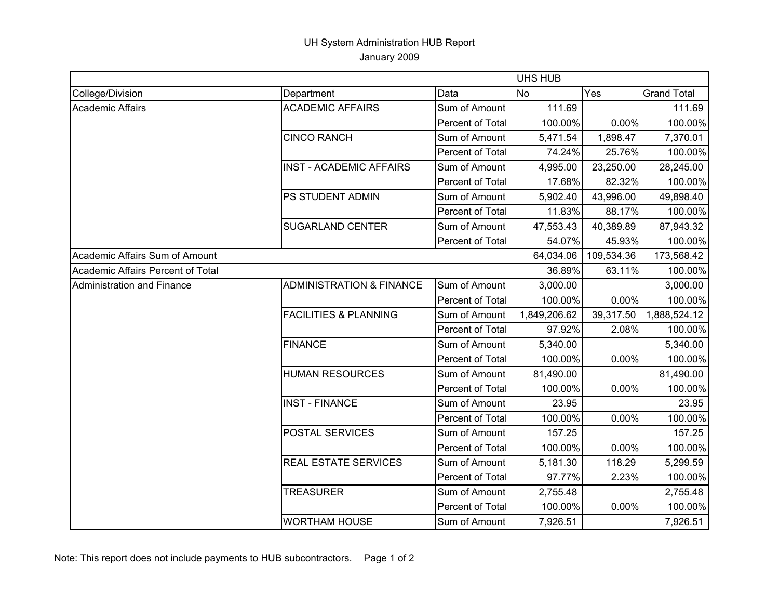## UH System Administration HUB Report January 2009

|                                   |                                     | <b>UHS HUB</b>          |              |            |                    |
|-----------------------------------|-------------------------------------|-------------------------|--------------|------------|--------------------|
| College/Division                  | Department                          | Data                    | <b>No</b>    | Yes        | <b>Grand Total</b> |
| <b>Academic Affairs</b>           | <b>ACADEMIC AFFAIRS</b>             | Sum of Amount           | 111.69       |            | 111.69             |
|                                   |                                     | <b>Percent of Total</b> | 100.00%      | 0.00%      | 100.00%            |
|                                   | <b>CINCO RANCH</b>                  | Sum of Amount           | 5,471.54     | 1,898.47   | 7,370.01           |
|                                   |                                     | <b>Percent of Total</b> | 74.24%       | 25.76%     | 100.00%            |
|                                   | <b>INST - ACADEMIC AFFAIRS</b>      | Sum of Amount           | 4,995.00     | 23,250.00  | 28,245.00          |
|                                   |                                     | Percent of Total        | 17.68%       | 82.32%     | 100.00%            |
|                                   | PS STUDENT ADMIN                    | Sum of Amount           | 5,902.40     | 43,996.00  | 49,898.40          |
|                                   |                                     | <b>Percent of Total</b> | 11.83%       | 88.17%     | 100.00%            |
|                                   | <b>SUGARLAND CENTER</b>             | Sum of Amount           | 47,553.43    | 40,389.89  | 87,943.32          |
|                                   |                                     | Percent of Total        | 54.07%       | 45.93%     | 100.00%            |
| Academic Affairs Sum of Amount    |                                     |                         | 64,034.06    | 109,534.36 | 173,568.42         |
| Academic Affairs Percent of Total |                                     |                         | 36.89%       | 63.11%     | 100.00%            |
| Administration and Finance        | <b>ADMINISTRATION &amp; FINANCE</b> | Sum of Amount           | 3,000.00     |            | 3,000.00           |
|                                   |                                     | Percent of Total        | 100.00%      | 0.00%      | 100.00%            |
|                                   | <b>FACILITIES &amp; PLANNING</b>    | Sum of Amount           | 1,849,206.62 | 39,317.50  | 1,888,524.12       |
|                                   |                                     | Percent of Total        | 97.92%       | 2.08%      | 100.00%            |
|                                   | <b>FINANCE</b>                      | Sum of Amount           | 5,340.00     |            | 5,340.00           |
|                                   |                                     | Percent of Total        | 100.00%      | 0.00%      | 100.00%            |
|                                   | <b>HUMAN RESOURCES</b>              | Sum of Amount           | 81,490.00    |            | 81,490.00          |
|                                   |                                     | <b>Percent of Total</b> | 100.00%      | 0.00%      | 100.00%            |
|                                   | <b>INST - FINANCE</b>               | Sum of Amount           | 23.95        |            | 23.95              |
|                                   |                                     | <b>Percent of Total</b> | 100.00%      | 0.00%      | 100.00%            |
|                                   | <b>POSTAL SERVICES</b>              | Sum of Amount           | 157.25       |            | 157.25             |
|                                   |                                     | Percent of Total        | 100.00%      | 0.00%      | 100.00%            |
|                                   | REAL ESTATE SERVICES                | Sum of Amount           | 5,181.30     | 118.29     | 5,299.59           |
|                                   |                                     | <b>Percent of Total</b> | 97.77%       | 2.23%      | 100.00%            |
|                                   | <b>TREASURER</b>                    | Sum of Amount           | 2,755.48     |            | 2,755.48           |
|                                   |                                     | Percent of Total        | 100.00%      | 0.00%      | 100.00%            |
|                                   | <b>WORTHAM HOUSE</b>                | Sum of Amount           | 7,926.51     |            | 7,926.51           |